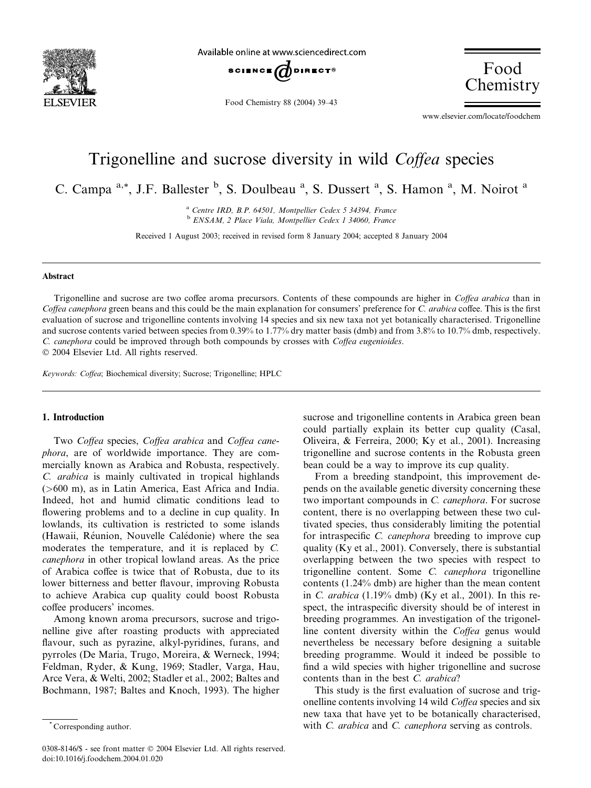

Available online at www.sciencedirect.com



Food Chemistry 88 (2004) 39–43

Food **Chemistry** 

www.elsevier.com/locate/foodchem

# Trigonelline and sucrose diversity in wild Coffea species

C. Campa<sup>a,\*</sup>, J.F. Ballester <sup>b</sup>, S. Doulbeau<sup>a</sup>, S. Dussert<sup>a</sup>, S. Hamon<sup>a</sup>, M. Noirot<sup>a</sup>

<sup>a</sup> Centre IRD, B.P. 64501, Montpellier Cedex 5 34394, France <sup>b</sup> ENSAM, 2 Place Viala, Montpellier Cedex 1 34060, France

Received 1 August 2003; received in revised form 8 January 2004; accepted 8 January 2004

#### Abstract

Trigonelline and sucrose are two coffee aroma precursors. Contents of these compounds are higher in Coffea arabica than in Coffea canephora green beans and this could be the main explanation for consumers' preference for C. arabica coffee. This is the first evaluation of sucrose and trigonelline contents involving 14 species and six new taxa not yet botanically characterised. Trigonelline and sucrose contents varied between species from 0.39% to 1.77% dry matter basis (dmb) and from 3.8% to 10.7% dmb, respectively. C. canephora could be improved through both compounds by crosses with Coffea eugenioides. 2004 Elsevier Ltd. All rights reserved.

Keywords: Coffea; Biochemical diversity; Sucrose; Trigonelline; HPLC

## 1. Introduction

Two Coffea species, Coffea arabica and Coffea canephora, are of worldwide importance. They are commercially known as Arabica and Robusta, respectively. C. arabica is mainly cultivated in tropical highlands (>600 m), as in Latin America, East Africa and India. Indeed, hot and humid climatic conditions lead to flowering problems and to a decline in cup quality. In lowlands, its cultivation is restricted to some islands (Hawaii, Reunion, Nouvelle Caledonie) where the sea moderates the temperature, and it is replaced by C. canephora in other tropical lowland areas. As the price of Arabica coffee is twice that of Robusta, due to its lower bitterness and better flavour, improving Robusta to achieve Arabica cup quality could boost Robusta coffee producers' incomes.

Among known aroma precursors, sucrose and trigonelline give after roasting products with appreciated flavour, such as pyrazine, alkyl-pyridines, furans, and pyrroles (De Maria, Trugo, Moreira, & Werneck, 1994; Feldman, Ryder, & Kung, 1969; Stadler, Varga, Hau, Arce Vera, & Welti, 2002; Stadler et al., 2002; Baltes and Bochmann, 1987; Baltes and Knoch, 1993). The higher sucrose and trigonelline contents in Arabica green bean could partially explain its better cup quality (Casal, Oliveira, & Ferreira, 2000; Ky et al., 2001). Increasing trigonelline and sucrose contents in the Robusta green bean could be a way to improve its cup quality.

From a breeding standpoint, this improvement depends on the available genetic diversity concerning these two important compounds in C. canephora. For sucrose content, there is no overlapping between these two cultivated species, thus considerably limiting the potential for intraspecific C. canephora breeding to improve cup quality (Ky et al., 2001). Conversely, there is substantial overlapping between the two species with respect to trigonelline content. Some C. canephora trigonelline contents (1.24% dmb) are higher than the mean content in C. arabica (1.19% dmb) (Ky et al., 2001). In this respect, the intraspecific diversity should be of interest in breeding programmes. An investigation of the trigonelline content diversity within the Coffea genus would nevertheless be necessary before designing a suitable breeding programme. Would it indeed be possible to find a wild species with higher trigonelline and sucrose contents than in the best C. arabica?

This study is the first evaluation of sucrose and trigonelline contents involving 14 wild Coffea species and six new taxa that have yet to be botanically characterised, Corresponding author. The corresponding author. The corresponding author.  $\ddot{C}$  canephora serving as controls.

<sup>0308-8146/\$ -</sup> see front matter © 2004 Elsevier Ltd. All rights reserved. doi:10.1016/j.foodchem.2004.01.020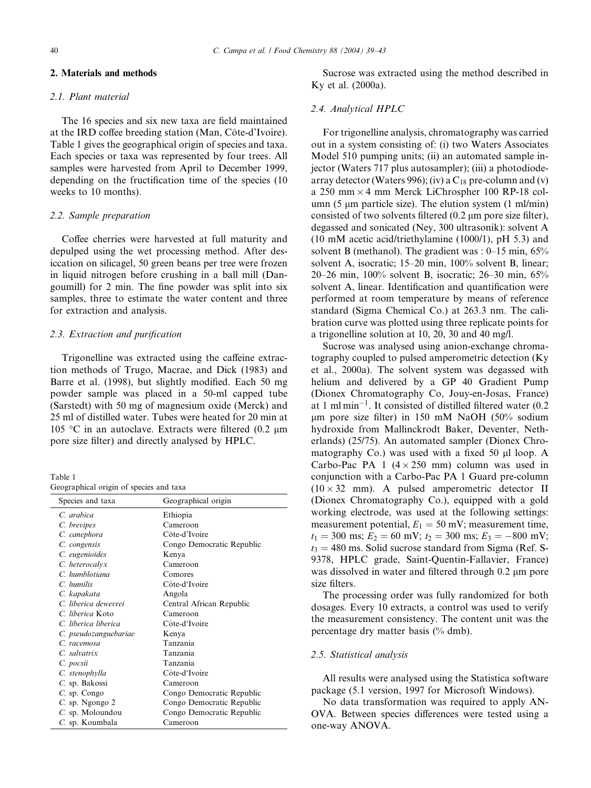## 2. Materials and methods

### 2.1. Plant material

The 16 species and six new taxa are field maintained at the IRD coffee breeding station (Man, Côte-d'Ivoire). Table 1 gives the geographical origin of species and taxa. Each species or taxa was represented by four trees. All samples were harvested from April to December 1999, depending on the fructification time of the species (10 weeks to 10 months).

#### 2.2. Sample preparation

Coffee cherries were harvested at full maturity and depulped using the wet processing method. After desiccation on silicagel, 50 green beans per tree were frozen in liquid nitrogen before crushing in a ball mill (Dangoumill) for 2 min. The fine powder was split into six samples, three to estimate the water content and three for extraction and analysis.

## 2.3. Extraction and purification

Trigonelline was extracted using the caffeine extraction methods of Trugo, Macrae, and Dick (1983) and Barre et al. (1998), but slightly modified. Each 50 mg powder sample was placed in a 50-ml capped tube (Sarstedt) with 50 mg of magnesium oxide (Merck) and 25 ml of distilled water. Tubes were heated for 20 min at 105 °C in an autoclave. Extracts were filtered (0.2  $\mu$ m pore size filter) and directly analysed by HPLC.

| Table 1                                 |  |  |  |
|-----------------------------------------|--|--|--|
| Geographical origin of species and taxa |  |  |  |

| Species and taxa      | Geographical origin       |  |  |  |  |
|-----------------------|---------------------------|--|--|--|--|
| C. arabica            | Ethiopia                  |  |  |  |  |
| C. brevipes           | Cameroon                  |  |  |  |  |
| C. canephora          | Côte-d'Ivoire             |  |  |  |  |
| C. congensis          | Congo Democratic Republic |  |  |  |  |
| C. eugenioides        | Kenya                     |  |  |  |  |
| C. heterocalyx        | Cameroon                  |  |  |  |  |
| C. humblotiana        | Comores                   |  |  |  |  |
| $Cn$ humilis          | Côte-d'Ivoire             |  |  |  |  |
| C. kapakata           | Angola                    |  |  |  |  |
| C. liberica dewevrei  | Central African Republic  |  |  |  |  |
| C. liberica Koto      | Cameroon                  |  |  |  |  |
| C. liberica liberica  | Côte-d'Ivoire             |  |  |  |  |
| C. pseudozanguebariae | Kenya                     |  |  |  |  |
| C. racemosa           | Tanzania                  |  |  |  |  |
| $C.$ salvatrix        | Tanzania                  |  |  |  |  |
| C. pocsii             | Tanzania                  |  |  |  |  |
| C. stenophylla        | Côte-d'Ivoire             |  |  |  |  |
| C. sp. Bakossi        | Cameroon                  |  |  |  |  |
| C. sp. Congo          | Congo Democratic Republic |  |  |  |  |
| $C.$ sp. Ngongo 2     | Congo Democratic Republic |  |  |  |  |
| C. sp. Moloundou      | Congo Democratic Republic |  |  |  |  |
| C. sp. Koumbala       | Cameroon                  |  |  |  |  |

Sucrose was extracted using the method described in Ky et al. (2000a).

#### 2.4. Analytical HPLC

For trigonelline analysis, chromatography was carried out in a system consisting of: (i) two Waters Associates Model 510 pumping units; (ii) an automated sample injector (Waters 717 plus autosampler); (iii) a photodiodearray detector (Waters 996); (iv) a  $C_{18}$  pre-column and (v) a 250 mm  $\times$  4 mm Merck LiChrospher 100 RP-18 column (5  $\mu$ m particle size). The elution system (1 ml/min) consisted of two solvents filtered  $(0.2 \mu m)$  pore size filter), degassed and sonicated (Ney, 300 ultrasonik): solvent A (10 mM acetic acid/triethylamine (1000/1), pH 5.3) and solvent B (methanol). The gradient was : 0–15 min, 65% solvent A, isocratic; 15–20 min, 100% solvent B, linear; 20–26 min, 100% solvent B, isocratic; 26–30 min, 65% solvent A, linear. Identification and quantification were performed at room temperature by means of reference standard (Sigma Chemical Co.) at 263.3 nm. The calibration curve was plotted using three replicate points for a trigonelline solution at 10, 20, 30 and 40 mg/l.

Sucrose was analysed using anion-exchange chromatography coupled to pulsed amperometric detection (Ky et al., 2000a). The solvent system was degassed with helium and delivered by a GP 40 Gradient Pump (Dionex Chromatography Co, Jouy-en-Josas, France) at 1 ml min-1. It consisted of distilled filtered water (0.2 lm pore size filter) in 150 mM NaOH (50% sodium hydroxide from Mallinckrodt Baker, Deventer, Netherlands) (25/75). An automated sampler (Dionex Chromatography Co.) was used with a fixed  $50 \mu l$  loop. A Carbo-Pac PA 1  $(4 \times 250$  mm) column was used in conjunction with a Carbo-Pac PA 1 Guard pre-column  $(10 \times 32 \text{ mm})$ . A pulsed amperometric detector II (Dionex Chromatography Co.), equipped with a gold working electrode, was used at the following settings: measurement potential,  $E_1 = 50$  mV; measurement time,  $t_1 = 300 \text{ ms}; E_2 = 60 \text{ mV}; t_2 = 300 \text{ ms}; E_3 = -800 \text{ mV};$  $t_3 = 480$  ms. Solid sucrose standard from Sigma (Ref. S-9378, HPLC grade, Saint-Quentin-Fallavier, France) was dissolved in water and filtered through  $0.2 \mu m$  pore size filters.

The processing order was fully randomized for both dosages. Every 10 extracts, a control was used to verify the measurement consistency. The content unit was the percentage dry matter basis (% dmb).

## 2.5. Statistical analysis

All results were analysed using the Statistica software package (5.1 version, 1997 for Microsoft Windows).

No data transformation was required to apply AN-OVA. Between species differences were tested using a one-way ANOVA.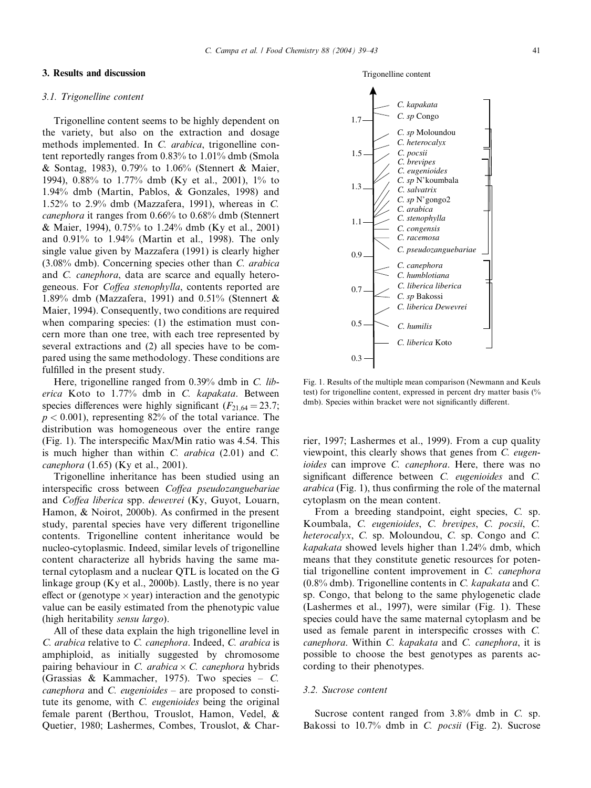## 3. Results and discussion

## 3.1. Trigonelline content

Trigonelline content seems to be highly dependent on the variety, but also on the extraction and dosage methods implemented. In C. arabica, trigonelline content reportedly ranges from 0.83% to 1.01% dmb (Smola & Sontag, 1983), 0.79% to 1.06% (Stennert & Maier, 1994), 0.88% to 1.77% dmb (Ky et al., 2001), 1% to 1.94% dmb (Martin, Pablos, & Gonzales, 1998) and 1.52% to 2.9% dmb (Mazzafera, 1991), whereas in C. canephora it ranges from 0.66% to 0.68% dmb (Stennert & Maier, 1994), 0.75% to 1.24% dmb (Ky et al., 2001) and 0.91% to 1.94% (Martin et al., 1998). The only single value given by Mazzafera (1991) is clearly higher (3.08% dmb). Concerning species other than C. arabica and C. canephora, data are scarce and equally heterogeneous. For Coffea stenophylla, contents reported are 1.89% dmb (Mazzafera, 1991) and 0.51% (Stennert  $\&$ Maier, 1994). Consequently, two conditions are required when comparing species: (1) the estimation must concern more than one tree, with each tree represented by several extractions and (2) all species have to be compared using the same methodology. These conditions are fulfilled in the present study.

Here, trigonelline ranged from 0.39% dmb in C. liberica Koto to 1.77% dmb in C. kapakata. Between species differences were highly significant ( $F_{21,64} = 23.7$ ;  $p < 0.001$ ), representing 82% of the total variance. The distribution was homogeneous over the entire range (Fig. 1). The interspecific Max/Min ratio was 4.54. This is much higher than within  $C$ . *arabica* (2.01) and  $C$ . canephora (1.65) (Ky et al., 2001).

Trigonelline inheritance has been studied using an interspecific cross between Coffea pseudozanguebariae and Coffea liberica spp. dewevrei (Ky, Guyot, Louarn, Hamon, & Noirot, 2000b). As confirmed in the present study, parental species have very different trigonelline contents. Trigonelline content inheritance would be nucleo-cytoplasmic. Indeed, similar levels of trigonelline content characterize all hybrids having the same maternal cytoplasm and a nuclear QTL is located on the G linkage group (Ky et al., 2000b). Lastly, there is no year effect or (genotype  $\times$  year) interaction and the genotypic value can be easily estimated from the phenotypic value (high heritability sensu largo).

All of these data explain the high trigonelline level in C. arabica relative to C. canephora. Indeed, C. arabica is amphiploid, as initially suggested by chromosome pairing behaviour in C. arabica  $\times$  C. canephora hybrids (Grassias & Kammacher, 1975). Two species – C. *canephora* and *C. eugenioides* – are proposed to constitute its genome, with C. eugenioides being the original female parent (Berthou, Trouslot, Hamon, Vedel, & Quetier, 1980; Lashermes, Combes, Trouslot, & Char-

Fig. 1. Results of the multiple mean comparison (Newmann and Keuls test) for trigonelline content, expressed in percent dry matter basis (% dmb). Species within bracket were not significantly different.

rier, 1997; Lashermes et al., 1999). From a cup quality viewpoint, this clearly shows that genes from C. eugenioides can improve C. canephora. Here, there was no significant difference between C. eugenioides and C. arabica (Fig. 1), thus confirming the role of the maternal cytoplasm on the mean content.

From a breeding standpoint, eight species, C. sp. Koumbala, C. eugenioides, C. brevipes, C. pocsii, C. heterocalyx, C. sp. Moloundou, C. sp. Congo and C. kapakata showed levels higher than 1.24% dmb, which means that they constitute genetic resources for potential trigonelline content improvement in C. canephora (0.8% dmb). Trigonelline contents in C. kapakata and C. sp. Congo, that belong to the same phylogenetic clade (Lashermes et al., 1997), were similar (Fig. 1). These species could have the same maternal cytoplasm and be used as female parent in interspecific crosses with C. canephora. Within C. kapakata and C. canephora, it is possible to choose the best genotypes as parents according to their phenotypes.

#### 3.2. Sucrose content

Sucrose content ranged from 3.8% dmb in C. sp. Bakossi to 10.7% dmb in C. pocsii (Fig. 2). Sucrose



Trigonelline content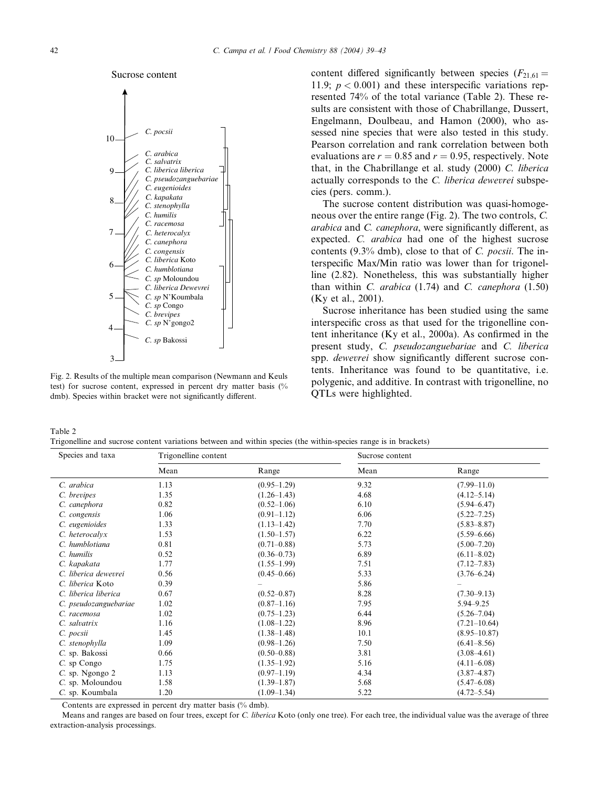



Fig. 2. Results of the multiple mean comparison (Newmann and Keuls test) for sucrose content, expressed in percent dry matter basis (% dmb). Species within bracket were not significantly different.

content differed significantly between species  $(F_{21,61} =$ 11.9;  $p < 0.001$ ) and these interspecific variations represented 74% of the total variance (Table 2). These results are consistent with those of Chabrillange, Dussert, Engelmann, Doulbeau, and Hamon (2000), who assessed nine species that were also tested in this study. Pearson correlation and rank correlation between both evaluations are  $r = 0.85$  and  $r = 0.95$ , respectively. Note that, in the Chabrillange et al. study (2000) C. liberica actually corresponds to the C. liberica dewevrei subspecies (pers. comm.).

The sucrose content distribution was quasi-homogeneous over the entire range (Fig. 2). The two controls, C. arabica and C. canephora, were significantly different, as expected. C. arabica had one of the highest sucrose contents (9.3% dmb), close to that of C. pocsii. The interspecific Max/Min ratio was lower than for trigonelline (2.82). Nonetheless, this was substantially higher than within  $C.$  arabica (1.74) and  $C.$  canephora (1.50) (Ky et al., 2001).

Sucrose inheritance has been studied using the same interspecific cross as that used for the trigonelline content inheritance (Ky et al., 2000a). As confirmed in the present study, C. pseudozanguebariae and C. liberica spp. dewevrei show significantly different sucrose contents. Inheritance was found to be quantitative, i.e. polygenic, and additive. In contrast with trigonelline, no QTLs were highlighted.

Table 2 Trigonelline and sucrose content variations between and within species (the within-species range is in brackets)

| Species and taxa      | Trigonelline content |                 | Sucrose content |                  |
|-----------------------|----------------------|-----------------|-----------------|------------------|
|                       | Mean                 | Range           | Mean            | Range            |
| C. arabica            | 1.13                 | $(0.95-1.29)$   | 9.32            | $(7.99 - 11.0)$  |
| C. brevipes           | 1.35                 | $(1.26 - 1.43)$ | 4.68            | $(4.12 - 5.14)$  |
| C. canephora          | 0.82                 | $(0.52 - 1.06)$ | 6.10            | $(5.94 - 6.47)$  |
| C. congensis          | 1.06                 | $(0.91 - 1.12)$ | 6.06            | $(5.22 - 7.25)$  |
| C. eugenioides        | 1.33                 | $(1.13 - 1.42)$ | 7.70            | $(5.83 - 8.87)$  |
| C. heterocalyx        | 1.53                 | $(1.50 - 1.57)$ | 6.22            | $(5.59 - 6.66)$  |
| C. humblotiana        | 0.81                 | $(0.71 - 0.88)$ | 5.73            | $(5.00 - 7.20)$  |
| C. humilis            | 0.52                 | $(0.36 - 0.73)$ | 6.89            | $(6.11 - 8.02)$  |
| C. kapakata           | 1.77                 | $(1.55-1.99)$   | 7.51            | $(7.12 - 7.83)$  |
| C. liberica dewevrei  | 0.56                 | $(0.45 - 0.66)$ | 5.33            | $(3.76 - 6.24)$  |
| C. liberica Koto      | 0.39                 |                 | 5.86            |                  |
| C. liberica liberica  | 0.67                 | $(0.52 - 0.87)$ | 8.28            | $(7.30 - 9.13)$  |
| C. pseudozanguebariae | 1.02                 | $(0.87 - 1.16)$ | 7.95            | 5.94 - 9.25      |
| C. racemosa           | 1.02                 | $(0.75 - 1.23)$ | 6.44            | $(5.26 - 7.04)$  |
| C. salvatrix          | 1.16                 | $(1.08 - 1.22)$ | 8.96            | $(7.21 - 10.64)$ |
| C. pocsii             | 1.45                 | $(1.38 - 1.48)$ | 10.1            | $(8.95 - 10.87)$ |
| C. stenophylla        | 1.09                 | $(0.98 - 1.26)$ | 7.50            | $(6.41 - 8.56)$  |
| C. sp. Bakossi        | 0.66                 | $(0.50 - 0.88)$ | 3.81            | $(3.08 - 4.61)$  |
| C. sp Congo           | 1.75                 | $(1.35-1.92)$   | 5.16            | $(4.11 - 6.08)$  |
| C. sp. Ngongo 2       | 1.13                 | $(0.97-1.19)$   | 4.34            | $(3.87 - 4.87)$  |
| C. sp. Moloundou      | 1.58                 | $(1.39 - 1.87)$ | 5.68            | $(5.47 - 6.08)$  |
| C. sp. Koumbala       | 1.20                 | $(1.09-1.34)$   | 5.22            | $(4.72 - 5.54)$  |

Contents are expressed in percent dry matter basis (% dmb).

Means and ranges are based on four trees, except for C. liberica Koto (only one tree). For each tree, the individual value was the average of three extraction-analysis processings.